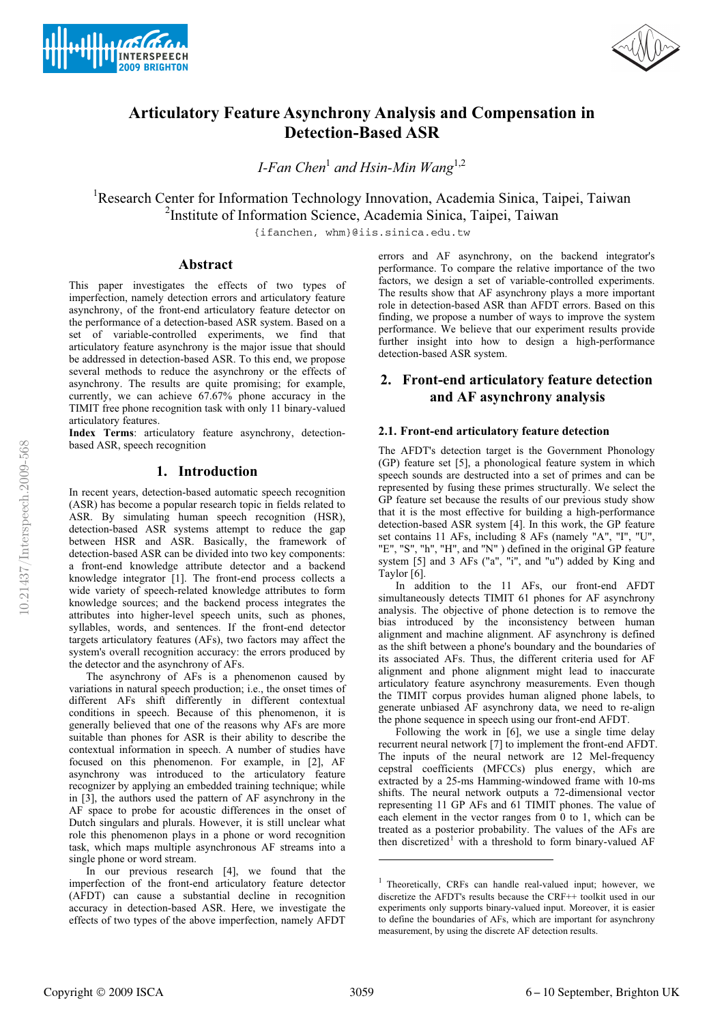



# **Articulatory Feature Asynchrony Analysis and Compensation in Detection-Based ASR**

*I-Fan Chen* $^{\rm l}$  *and Hsin-Min Wang* $^{\rm l,2}$ 

<sup>1</sup>Research Center for Information Technology Innovation, Academia Sinica, Taipei, Taiwan <sup>2</sup>Institute of Information Science, Academia Sinica, Taipei, Taiwan

{ifanchen, whm}@iis.sinica.edu.tw

## **Abstract**

This paper investigates the effects of two types of imperfection, namely detection errors and articulatory feature asynchrony, of the front-end articulatory feature detector on the performance of a detection-based ASR system. Based on a set of variable-controlled experiments, we find that articulatory feature asynchrony is the major issue that should be addressed in detection-based ASR. To this end, we propose several methods to reduce the asynchrony or the effects of asynchrony. The results are quite promising; for example, currently, we can achieve 67.67% phone accuracy in the TIMIT free phone recognition task with only 11 binary-valued articulatory features.

**Index Terms**: articulatory feature asynchrony, detectionbased ASR, speech recognition

## **1. Introduction**

In recent years, detection-based automatic speech recognition (ASR) has become a popular research topic in fields related to ASR. By simulating human speech recognition (HSR), detection-based ASR systems attempt to reduce the gap between HSR and ASR. Basically, the framework of detection-based ASR can be divided into two key components: a front-end knowledge attribute detector and a backend knowledge integrator [1]. The front-end process collects a wide variety of speech-related knowledge attributes to form knowledge sources; and the backend process integrates the attributes into higher-level speech units, such as phones, syllables, words, and sentences. If the front-end detector targets articulatory features (AFs), two factors may affect the system's overall recognition accuracy: the errors produced by the detector and the asynchrony of AFs.

The asynchrony of AFs is a phenomenon caused by variations in natural speech production; i.e., the onset times of different AFs shift differently in different contextual conditions in speech. Because of this phenomenon, it is generally believed that one of the reasons why AFs are more suitable than phones for ASR is their ability to describe the contextual information in speech. A number of studies have focused on this phenomenon. For example, in [2], AF asynchrony was introduced to the articulatory feature recognizer by applying an embedded training technique; while in [3], the authors used the pattern of AF asynchrony in the AF space to probe for acoustic differences in the onset of Dutch singulars and plurals. However, it is still unclear what role this phenomenon plays in a phone or word recognition task, which maps multiple asynchronous AF streams into a single phone or word stream.

errors and AF asynchrony, on the backend integrator's performance. To compare the relative importance of the two factors, we design a set of variable-controlled experiments. The results show that AF asynchrony plays a more important role in detection-based ASR than AFDT errors. Based on this finding, we propose a number of ways to improve the system performance. We believe that our experiment results provide further insight into how to design a high-performance detection-based ASR system.

## **2. Front-end articulatory feature detection and AF asynchrony analysis**

## **2.1. Front-end articulatory feature detection**

The AFDT's detection target is the Government Phonology (GP) feature set [5], a phonological feature system in which speech sounds are destructed into a set of primes and can be represented by fusing these primes structurally. We select the GP feature set because the results of our previous study show that it is the most effective for building a high-performance detection-based ASR system [4]. In this work, the GP feature set contains 11 AFs, including 8 AFs (namely "A", "I", "U", "E", "S", "h", "H", and "N" ) defined in the original GP feature system [5] and 3 AFs ("a", "i", and "u") added by King and Taylor [6].

In addition to the 11 AFs, our front-end AFDT simultaneously detects TIMIT 61 phones for AF asynchrony analysis. The objective of phone detection is to remove the bias introduced by the inconsistency between human alignment and machine alignment. AF asynchrony is defined as the shift between a phone's boundary and the boundaries of its associated AFs. Thus, the different criteria used for AF alignment and phone alignment might lead to inaccurate articulatory feature asynchrony measurements. Even though the TIMIT corpus provides human aligned phone labels, to generate unbiased AF asynchrony data, we need to re-align the phone sequence in speech using our front-end AFDT.

Following the work in [6], we use a single time delay recurrent neural network [7] to implement the front-end AFDT. The inputs of the neural network are 12 Mel-frequency cepstral coefficients (MFCCs) plus energy, which are extracted by a 25-ms Hamming-windowed frame with 10-ms shifts. The neural network outputs a 72-dimensional vector representing 11 GP AFs and 61 TIMIT phones. The value of each element in the vector ranges from  $\hat{0}$  to 1, which can be treated as a posterior probability. The values of the AFs are then discretized<sup>1</sup> with a threshold to form binary-valued AF

1

In our previous research [4], we found that the imperfection of the front-end articulatory feature detector (AFDT) can cause a substantial decline in recognition accuracy in detection-based ASR. Here, we investigate the effects of two types of the above imperfection, namely AFDT

<sup>&</sup>lt;sup>1</sup> Theoretically, CRFs can handle real-valued input; however, we discretize the AFDT's results because the CRF++ toolkit used in our experiments only supports binary-valued input. Moreover, it is easier to define the boundaries of AFs, which are important for asynchrony measurement, by using the discrete AF detection results.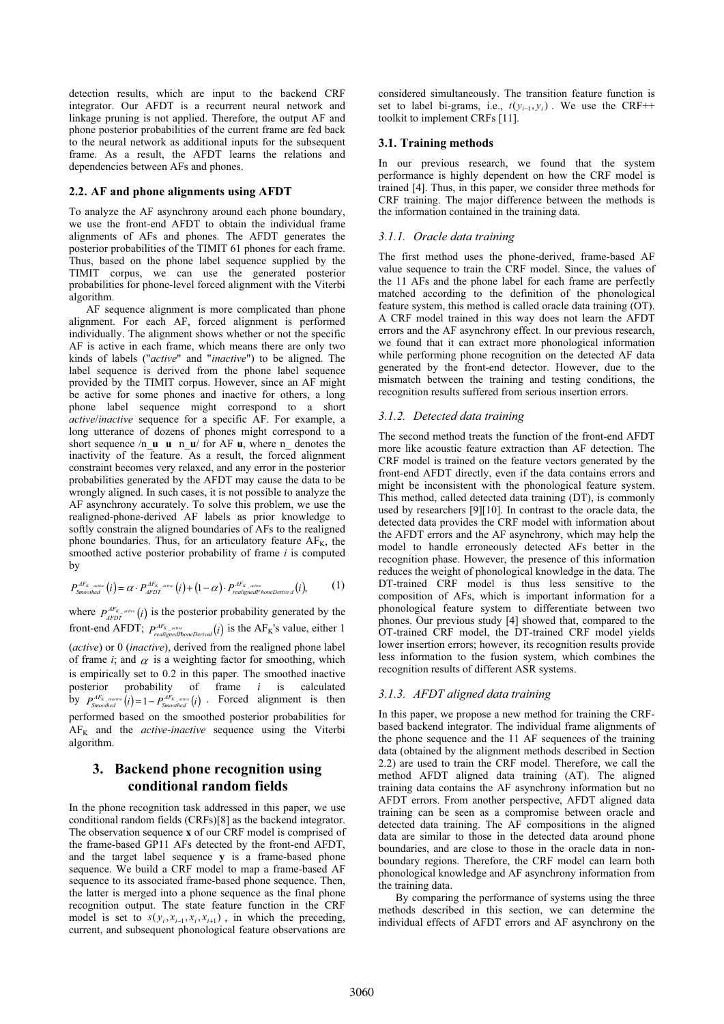detection results, which are input to the backend CRF integrator. Our AFDT is a recurrent neural network and linkage pruning is not applied. Therefore, the output AF and phone posterior probabilities of the current frame are fed back to the neural network as additional inputs for the subsequent frame. As a result, the AFDT learns the relations and dependencies between AFs and phones.

#### **2.2. AF and phone alignments using AFDT**

To analyze the AF asynchrony around each phone boundary, we use the front-end AFDT to obtain the individual frame alignments of AFs and phones. The AFDT generates the posterior probabilities of the TIMIT 61 phones for each frame. Thus, based on the phone label sequence supplied by the TIMIT corpus, we can use the generated posterior probabilities for phone-level forced alignment with the Viterbi algorithm.

AF sequence alignment is more complicated than phone alignment. For each AF, forced alignment is performed individually. The alignment shows whether or not the specific AF is active in each frame, which means there are only two kinds of labels ("*active*" and "*inactive*") to be aligned. The label sequence is derived from the phone label sequence provided by the TIMIT corpus. However, since an AF might be active for some phones and inactive for others, a long phone label sequence might correspond to a short *active*/*inactive* sequence for a specific AF. For example, a long utterance of dozens of phones might correspond to a short sequence  $/n \mathbf{u} \mathbf{u} \mathbf{n} \mathbf{u}$  for AF **u**, where n\_ denotes the inactivity of the feature. As a result, the forced alignment constraint becomes very relaxed, and any error in the posterior probabilities generated by the AFDT may cause the data to be wrongly aligned. In such cases, it is not possible to analyze the AF asynchrony accurately. To solve this problem, we use the realigned-phone-derived AF labels as prior knowledge to softly constrain the aligned boundaries of AFs to the realigned phone boundaries. Thus, for an articulatory feature  $AF<sub>K</sub>$ , the smoothed active posterior probability of frame *i* is computed by

$$
P_{Smoothed}^{AF_{K\_active}}(i) = \alpha \cdot P_{AFDT}^{AF_{K\_active}}(i) + (1 - \alpha) \cdot P_{realized~homeDerive~d}^{AF_{K\_active}}(i),
$$
 (1)

where  $P_{AFDT}^{AF_{K}}(i)$  is the posterior probability generated by the front-end AFDT;  $P_{\text{realigned}^{\text{AF}}(R_{\text{non-Derived}}(i))$  is the AF<sub>K</sub>'s value, either 1 (*active*) or 0 (*inactive*), derived from the realigned phone label of frame  $i$ ; and  $\alpha$  is a weighting factor for smoothing, which is empirically set to 0.2 in this paper. The smoothed inactive posterior probability of frame *i* is calculated by  $P_{S_{monothed}}^{AF_{K\_inter}}(i) = 1 - P_{S_{monothed}}^{AF_{K\_active}}(i)$ . Forced alignment is then performed based on the smoothed posterior probabilities for  $AF<sub>K</sub>$  and the *active-inactive* sequence using the Viterbi algorithm.

## **3. Backend phone recognition using conditional random fields**

In the phone recognition task addressed in this paper, we use conditional random fields (CRFs)[8] as the backend integrator. The observation sequence **x** of our CRF model is comprised of the frame-based GP11 AFs detected by the front-end AFDT, and the target label sequence **y** is a frame-based phone sequence. We build a CRF model to map a frame-based AF sequence to its associated frame-based phone sequence. Then, the latter is merged into a phone sequence as the final phone recognition output. The state feature function in the CRF model is set to  $s(y_i, x_{i-1}, x_i, x_{i+1})$ , in which the preceding, current, and subsequent phonological feature observations are

considered simultaneously. The transition feature function is set to label bi-grams, i.e.,  $t(y_{i-1}, y_i)$ . We use the CRF++ toolkit to implement CRFs [11].

#### **3.1. Training methods**

In our previous research, we found that the system performance is highly dependent on how the CRF model is trained [4]. Thus, in this paper, we consider three methods for CRF training. The major difference between the methods is the information contained in the training data.

## *3.1.1. Oracle data training*

The first method uses the phone-derived, frame-based AF value sequence to train the CRF model. Since, the values of the 11 AFs and the phone label for each frame are perfectly matched according to the definition of the phonological feature system, this method is called oracle data training (OT). A CRF model trained in this way does not learn the AFDT errors and the AF asynchrony effect. In our previous research, we found that it can extract more phonological information while performing phone recognition on the detected AF data generated by the front-end detector. However, due to the mismatch between the training and testing conditions, the recognition results suffered from serious insertion errors.

## *3.1.2. Detected data training*

The second method treats the function of the front-end AFDT more like acoustic feature extraction than AF detection. The CRF model is trained on the feature vectors generated by the front-end AFDT directly, even if the data contains errors and might be inconsistent with the phonological feature system. This method, called detected data training (DT), is commonly used by researchers [9][10]. In contrast to the oracle data, the detected data provides the CRF model with information about the AFDT errors and the AF asynchrony, which may help the model to handle erroneously detected AFs better in the recognition phase. However, the presence of this information reduces the weight of phonological knowledge in the data. The DT-trained CRF model is thus less sensitive to the composition of AFs, which is important information for a phonological feature system to differentiate between two phones. Our previous study [4] showed that, compared to the OT-trained CRF model, the DT-trained CRF model yields lower insertion errors; however, its recognition results provide less information to the fusion system, which combines the recognition results of different ASR systems.

## *3.1.3. AFDT aligned data training*

In this paper, we propose a new method for training the CRFbased backend integrator. The individual frame alignments of the phone sequence and the 11 AF sequences of the training data (obtained by the alignment methods described in Section 2.2) are used to train the CRF model. Therefore, we call the method AFDT aligned data training (AT). The aligned training data contains the AF asynchrony information but no AFDT errors. From another perspective, AFDT aligned data training can be seen as a compromise between oracle and detected data training. The AF compositions in the aligned data are similar to those in the detected data around phone boundaries, and are close to those in the oracle data in nonboundary regions. Therefore, the CRF model can learn both phonological knowledge and AF asynchrony information from the training data.

By comparing the performance of systems using the three methods described in this section, we can determine the individual effects of AFDT errors and AF asynchrony on the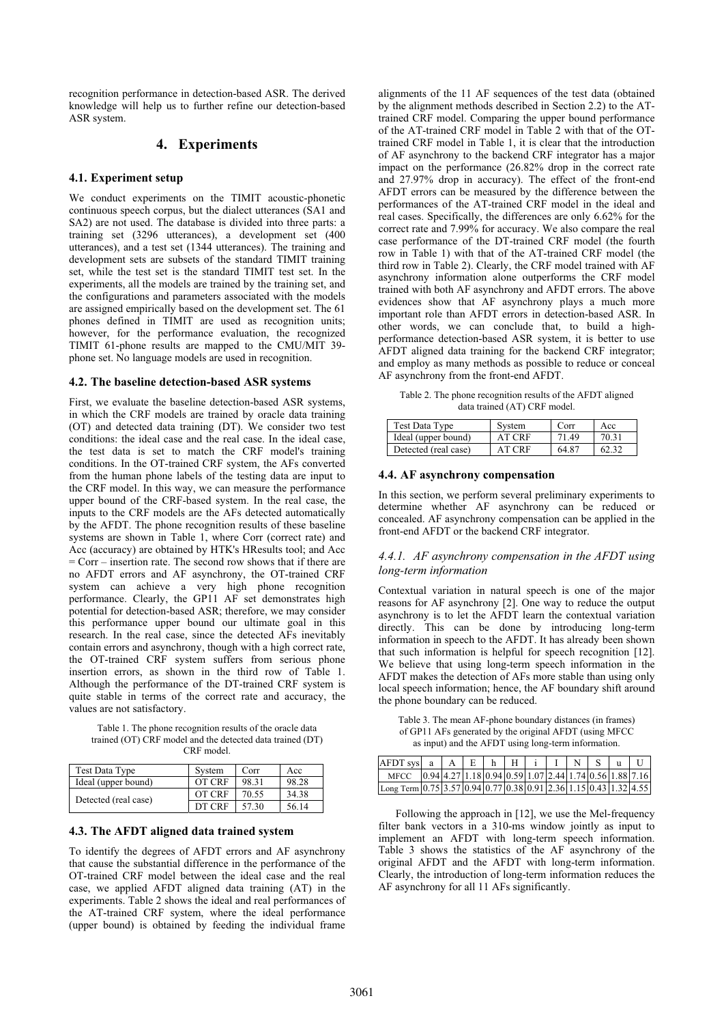recognition performance in detection-based ASR. The derived knowledge will help us to further refine our detection-based ASR system.

## **4. Experiments**

#### **4.1. Experiment setup**

We conduct experiments on the TIMIT acoustic-phonetic continuous speech corpus, but the dialect utterances (SA1 and SA2) are not used. The database is divided into three parts: a training set (3296 utterances), a development set (400 utterances), and a test set (1344 utterances). The training and development sets are subsets of the standard TIMIT training set, while the test set is the standard TIMIT test set. In the experiments, all the models are trained by the training set, and the configurations and parameters associated with the models are assigned empirically based on the development set. The 61 phones defined in TIMIT are used as recognition units; however, for the performance evaluation, the recognized TIMIT 61-phone results are mapped to the CMU/MIT 39 phone set. No language models are used in recognition.

## **4.2. The baseline detection-based ASR systems**

First, we evaluate the baseline detection-based ASR systems, in which the CRF models are trained by oracle data training (OT) and detected data training (DT). We consider two test conditions: the ideal case and the real case. In the ideal case, the test data is set to match the CRF model's training conditions. In the OT-trained CRF system, the AFs converted from the human phone labels of the testing data are input to the CRF model. In this way, we can measure the performance upper bound of the CRF-based system. In the real case, the inputs to the CRF models are the AFs detected automatically by the AFDT. The phone recognition results of these baseline systems are shown in Table 1, where Corr (correct rate) and Acc (accuracy) are obtained by HTK's HResults tool; and Acc  $=$  Corr  $-$  insertion rate. The second row shows that if there are no AFDT errors and AF asynchrony, the OT-trained CRF system can achieve a very high phone recognition performance. Clearly, the GP11 AF set demonstrates high potential for detection-based ASR; therefore, we may consider this performance upper bound our ultimate goal in this research. In the real case, since the detected AFs inevitably contain errors and asynchrony, though with a high correct rate, the OT-trained CRF system suffers from serious phone insertion errors, as shown in the third row of Table 1. Although the performance of the DT-trained CRF system is quite stable in terms of the correct rate and accuracy, the values are not satisfactory.

Table 1. The phone recognition results of the oracle data trained (OT) CRF model and the detected data trained (DT) CRF model.

| Test Data Type       | System        | Corr  | Acc   |  |
|----------------------|---------------|-------|-------|--|
| Ideal (upper bound)  | <b>OT CRF</b> | 98.31 | 98.28 |  |
| Detected (real case) | OT CRF        | 70.55 | 34.38 |  |
|                      | DT CRF        | 57.30 | 56.14 |  |

## **4.3. The AFDT aligned data trained system**

To identify the degrees of AFDT errors and AF asynchrony that cause the substantial difference in the performance of the OT-trained CRF model between the ideal case and the real case, we applied AFDT aligned data training (AT) in the experiments. Table 2 shows the ideal and real performances of the AT-trained CRF system, where the ideal performance (upper bound) is obtained by feeding the individual frame alignments of the 11 AF sequences of the test data (obtained by the alignment methods described in Section 2.2) to the ATtrained CRF model. Comparing the upper bound performance of the AT-trained CRF model in Table 2 with that of the OTtrained CRF model in Table 1, it is clear that the introduction of AF asynchrony to the backend CRF integrator has a major impact on the performance (26.82% drop in the correct rate and 27.97% drop in accuracy). The effect of the front-end AFDT errors can be measured by the difference between the performances of the AT-trained CRF model in the ideal and real cases. Specifically, the differences are only 6.62% for the correct rate and 7.99% for accuracy. We also compare the real case performance of the DT-trained CRF model (the fourth row in Table 1) with that of the AT-trained CRF model (the third row in Table 2). Clearly, the CRF model trained with AF asynchrony information alone outperforms the CRF model trained with both AF asynchrony and AFDT errors. The above evidences show that AF asynchrony plays a much more important role than AFDT errors in detection-based ASR. In other words, we can conclude that, to build a highperformance detection-based ASR system, it is better to use AFDT aligned data training for the backend CRF integrator; and employ as many methods as possible to reduce or conceal AF asynchrony from the front-end AFDT.

Table 2. The phone recognition results of the AFDT aligned data trained (AT) CRF model.

| Test Data Type       | Svstem | Corr  | Acc   |
|----------------------|--------|-------|-------|
| Ideal (upper bound)  | AT CRF | 71.49 | 70.31 |
| Detected (real case) | AT CRF | 64.87 | 62.32 |

#### **4.4. AF asynchrony compensation**

In this section, we perform several preliminary experiments to determine whether AF asynchrony can be reduced or concealed. AF asynchrony compensation can be applied in the front-end AFDT or the backend CRF integrator.

## *4.4.1. AF asynchrony compensation in the AFDT using long-term information*

Contextual variation in natural speech is one of the major reasons for AF asynchrony [2]. One way to reduce the output asynchrony is to let the AFDT learn the contextual variation directly. This can be done by introducing long-term information in speech to the AFDT. It has already been shown that such information is helpful for speech recognition [12]. We believe that using long-term speech information in the AFDT makes the detection of AFs more stable than using only local speech information; hence, the AF boundary shift around the phone boundary can be reduced.

Table 3. The mean AF-phone boundary distances (in frames) of GP11 AFs generated by the original AFDT (using MFCC as input) and the AFDT using long-term information.

| $AFDT$ sys $a \mid A \mid E \mid$                                                                                                                            |  |  |  |  |  | h   H   i   I   N   S   u   U |
|--------------------------------------------------------------------------------------------------------------------------------------------------------------|--|--|--|--|--|-------------------------------|
| MFCC   0.94 4.27 1.18 0.94 0.59 1.07 2.44 1.74 0.56 1.88 7.16                                                                                                |  |  |  |  |  |                               |
| Long Term $\left  0.75 \right  3.57 \left  0.94 \right  0.77 \left  0.38 \right  0.91 \left  2.36 \right  1.15 \left  0.43 \right  1.32 \left  4.55 \right $ |  |  |  |  |  |                               |

Following the approach in [12], we use the Mel-frequency filter bank vectors in a 310-ms window jointly as input to implement an AFDT with long-term speech information. Table 3 shows the statistics of the AF asynchrony of the original AFDT and the AFDT with long-term information. Clearly, the introduction of long-term information reduces the AF asynchrony for all 11 AFs significantly.